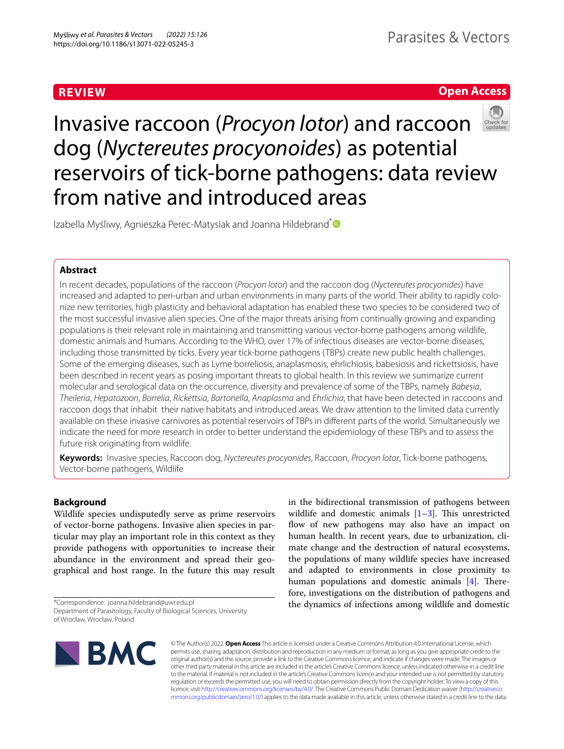# **REVIEW**

# **Open Access**



Invasive raccoon (*Procyon lotor*) and raccoon dog (*Nyctereutes procyonoides*) as potential reservoirs of tick-borne pathogens: data review from native and introduced areas

Izabella Myśliwy, Agnieszka Perec-Matysiak and Joanna Hildebrand<sup>[\\*](http://orcid.org/0000-0002-2371-1062)</sup> <sup>●</sup>

# **Abstract**

In recent decades, populations of the raccoon (*Procyon lotor*) and the raccoon dog (*Nyctereutes procyonides*) have increased and adapted to peri-urban and urban environments in many parts of the world. Their ability to rapidly colonize new territories, high plasticity and behavioral adaptation has enabled these two species to be considered two of the most successful invasive alien species. One of the major threats arising from continually growing and expanding populations is their relevant role in maintaining and transmitting various vector-borne pathogens among wildlife, domestic animals and humans. According to the WHO, over 17% of infectious diseases are vector-borne diseases, including those transmitted by ticks. Every year tick-borne pathogens (TBPs) create new public health challenges. Some of the emerging diseases, such as Lyme borreliosis, anaplasmosis, ehrlichiosis, babesiosis and rickettsiosis, have been described in recent years as posing important threats to global health. In this review we summarize current molecular and serological data on the occurrence, diversity and prevalence of some of the TBPs, namely *Babesia*, *Theileria*, *Hepatozoon*, *Borrelia*, *Rickettsia*, *Bartonella*, *Anaplasma* and *Ehrlichia*, that have been detected in raccoons and raccoon dogs that inhabit their native habitats and introduced areas. We draw attention to the limited data currently available on these invasive carnivores as potential reservoirs of TBPs in diferent parts of the world. Simultaneously we indicate the need for more research in order to better understand the epidemiology of these TBPs and to assess the future risk originating from wildlife.

**Keywords:** Invasive species, Raccoon dog, *Nyctereutes procyonides*, Raccoon, *Procyon lotor*, Tick-borne pathogens, Vector-borne pathogens, Wildlife

# **Background**

Wildlife species undisputedly serve as prime reservoirs of vector-borne pathogens. Invasive alien species in particular may play an important role in this context as they provide pathogens with opportunities to increase their abundance in the environment and spread their geographical and host range. In the future this may result

\*Correspondence: joanna.hildebrand@uwr.edu.pl

in the bidirectional transmission of pathogens between wildlife and domestic animals  $[1-3]$  $[1-3]$  $[1-3]$ . This unrestricted flow of new pathogens may also have an impact on human health. In recent years, due to urbanization, climate change and the destruction of natural ecosystems, the populations of many wildlife species have increased and adapted to environments in close proximity to human populations and domestic animals  $[4]$  $[4]$ . Therefore, investigations on the distribution of pathogens and the dynamics of infections among wildlife and domestic



© The Author(s) 2022. **Open Access** This article is licensed under a Creative Commons Attribution 4.0 International License, which permits use, sharing, adaptation, distribution and reproduction in any medium or format, as long as you give appropriate credit to the original author(s) and the source, provide a link to the Creative Commons licence, and indicate if changes were made. The images or other third party material in this article are included in the article's Creative Commons licence, unless indicated otherwise in a credit line to the material. If material is not included in the article's Creative Commons licence and your intended use is not permitted by statutory regulation or exceeds the permitted use, you will need to obtain permission directly from the copyright holder. To view a copy of this licence, visit [http://creativecommons.org/licenses/by/4.0/.](http://creativecommons.org/licenses/by/4.0/) The Creative Commons Public Domain Dedication waiver ([http://creativeco](http://creativecommons.org/publicdomain/zero/1.0/) [mmons.org/publicdomain/zero/1.0/](http://creativecommons.org/publicdomain/zero/1.0/)) applies to the data made available in this article, unless otherwise stated in a credit line to the data.

Department of Parasitology, Faculty of Biological Sciences, University of Wrocław, Wrocław, Poland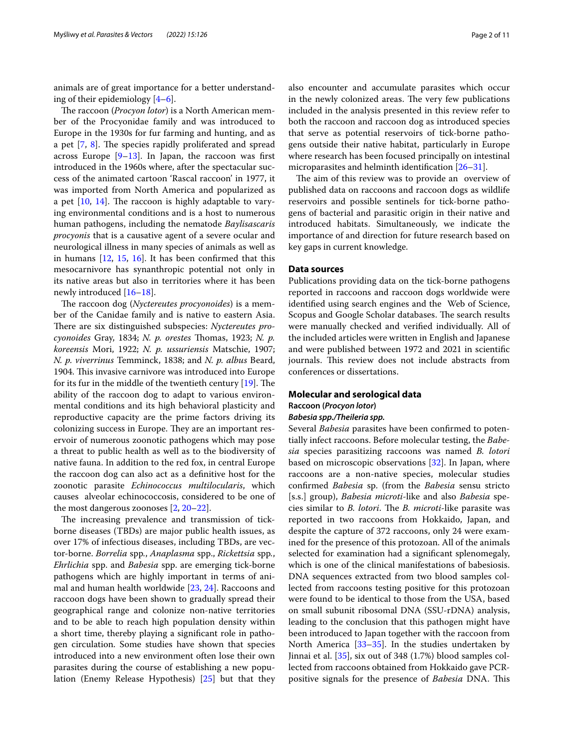animals are of great importance for a better understanding of their epidemiology [[4–](#page-9-1)[6](#page-9-2)].

The raccoon (*Procyon lotor*) is a North American member of the Procyonidae family and was introduced to Europe in the 1930s for fur farming and hunting, and as a pet  $[7, 8]$  $[7, 8]$  $[7, 8]$  $[7, 8]$  $[7, 8]$ . The species rapidly proliferated and spread across Europe  $[9-13]$  $[9-13]$ . In Japan, the raccoon was first introduced in the 1960s where, after the spectacular success of the animated cartoon 'Rascal raccoon' in 1977, it was imported from North America and popularized as a pet  $[10, 14]$  $[10, 14]$  $[10, 14]$  $[10, 14]$  $[10, 14]$ . The raccoon is highly adaptable to varying environmental conditions and is a host to numerous human pathogens, including the nematode *Baylisascaris procyonis* that is a causative agent of a severe ocular and neurological illness in many species of animals as well as in humans [[12,](#page-9-9) [15,](#page-9-10) [16](#page-9-11)]. It has been confrmed that this mesocarnivore has synanthropic potential not only in its native areas but also in territories where it has been newly introduced [[16](#page-9-11)[–18](#page-9-12)].

The raccoon dog (*Nyctereutes procyonoides*) is a member of the Canidae family and is native to eastern Asia. There are six distinguished subspecies: *Nyctereutes procyonoides* Gray, 1834; *N. p. orestes* Thomas, 1923; *N. p. koreensis* Mori, 1922; *N. p. ussuriensis* Matschie, 1907; *N. p. viverrinus* Temminck, 1838; and *N. p. albus* Beard, 1904. This invasive carnivore was introduced into Europe for its fur in the middle of the twentieth century  $[19]$  $[19]$  $[19]$ . The ability of the raccoon dog to adapt to various environmental conditions and its high behavioral plasticity and reproductive capacity are the prime factors driving its colonizing success in Europe. They are an important reservoir of numerous zoonotic pathogens which may pose a threat to public health as well as to the biodiversity of native fauna. In addition to the red fox, in central Europe the raccoon dog can also act as a defnitive host for the zoonotic parasite *Echinococcus multilocularis*, which causes alveolar echinococcosis, considered to be one of the most dangerous zoonoses [[2,](#page-8-1) [20](#page-9-14)–[22\]](#page-9-15).

The increasing prevalence and transmission of tickborne diseases (TBDs) are major public health issues, as over 17% of infectious diseases, including TBDs, are vector-borne. *Borrelia* spp*.*, *Anaplasma* spp., *Rickettsia* spp*.*, *Ehrlichia* spp. and *Babesia* spp. are emerging tick-borne pathogens which are highly important in terms of animal and human health worldwide [[23,](#page-9-16) [24\]](#page-9-17). Raccoons and raccoon dogs have been shown to gradually spread their geographical range and colonize non-native territories and to be able to reach high population density within a short time, thereby playing a signifcant role in pathogen circulation. Some studies have shown that species introduced into a new environment often lose their own parasites during the course of establishing a new population (Enemy Release Hypothesis) [[25](#page-9-18)] but that they also encounter and accumulate parasites which occur in the newly colonized areas. The very few publications included in the analysis presented in this review refer to both the raccoon and raccoon dog as introduced species that serve as potential reservoirs of tick-borne pathogens outside their native habitat, particularly in Europe where research has been focused principally on intestinal microparasites and helminth identification [\[26–](#page-9-19)[31\]](#page-9-20).

The aim of this review was to provide an overview of published data on raccoons and raccoon dogs as wildlife reservoirs and possible sentinels for tick-borne pathogens of bacterial and parasitic origin in their native and introduced habitats. Simultaneously, we indicate the importance of and direction for future research based on key gaps in current knowledge.

### **Data sources**

Publications providing data on the tick-borne pathogens reported in raccoons and raccoon dogs worldwide were identifed using search engines and the Web of Science, Scopus and Google Scholar databases. The search results were manually checked and verifed individually. All of the included articles were written in English and Japanese and were published between 1972 and 2021 in scientifc journals. This review does not include abstracts from conferences or dissertations.

## **Molecular and serological data Raccoon (***Procyon lotor***)**

## *Babesia spp./Theileria spp.*

Several *Babesia* parasites have been confrmed to potentially infect raccoons. Before molecular testing, the *Babesia* species parasitizing raccoons was named *B. lotori* based on microscopic observations [[32\]](#page-9-21). In Japan, where raccoons are a non-native species, molecular studies confrmed *Babesia* sp. (from the *Babesia* sensu stricto [s.s.] group), *Babesia microti*-like and also *Babesia* species similar to *B. lotori*. The *B. microti*-like parasite was reported in two raccoons from Hokkaido, Japan, and despite the capture of 372 raccoons, only 24 were examined for the presence of this protozoan. All of the animals selected for examination had a signifcant splenomegaly, which is one of the clinical manifestations of babesiosis. DNA sequences extracted from two blood samples collected from raccoons testing positive for this protozoan were found to be identical to those from the USA, based on small subunit ribosomal DNA (SSU-rDNA) analysis, leading to the conclusion that this pathogen might have been introduced to Japan together with the raccoon from North America [\[33](#page-9-22)[–35](#page-9-23)]. In the studies undertaken by Jinnai et al. [[35](#page-9-23)], six out of 348 (1.7%) blood samples collected from raccoons obtained from Hokkaido gave PCRpositive signals for the presence of *Babesia* DNA. This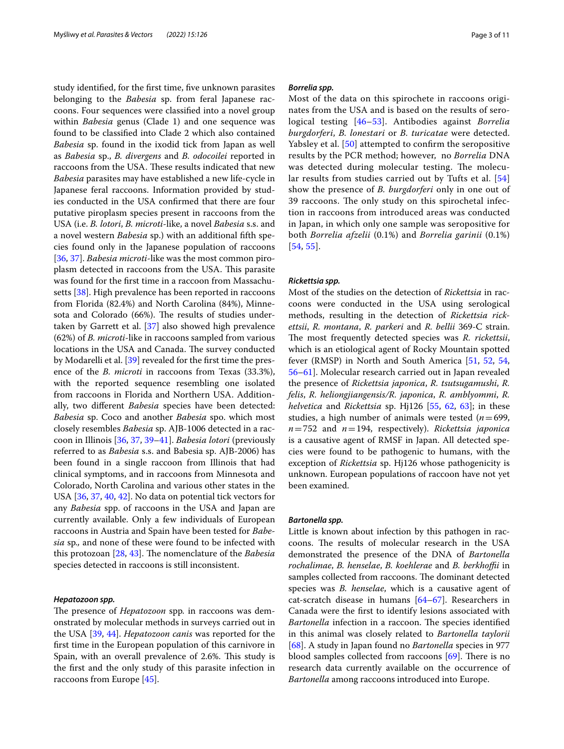study identifed, for the frst time, fve unknown parasites belonging to the *Babesia* sp. from feral Japanese raccoons. Four sequences were classifed into a novel group within *Babesia* genus (Clade 1) and one sequence was found to be classifed into Clade 2 which also contained *Babesia* sp. found in the ixodid tick from Japan as well as *Babesia* sp., *B. divergens* and *B. odocoilei* reported in raccoons from the USA. These results indicated that new *Babesia* parasites may have established a new life-cycle in Japanese feral raccoons. Information provided by studies conducted in the USA confrmed that there are four putative piroplasm species present in raccoons from the USA (i.e. *B. lotori*, *B. microti*-like, a novel *Babesia* s.s. and a novel western *Babesia* sp.) with an additional ffth species found only in the Japanese population of raccoons [[36,](#page-9-24) [37](#page-9-25)]. *Babesia microti*-like was the most common piroplasm detected in raccoons from the USA. This parasite was found for the frst time in a raccoon from Massachusetts [[38\]](#page-9-26). High prevalence has been reported in raccoons from Florida (82.4%) and North Carolina (84%), Minnesota and Colorado (66%). The results of studies undertaken by Garrett et al. [\[37](#page-9-25)] also showed high prevalence (62%) of *B. microti*-like in raccoons sampled from various locations in the USA and Canada. The survey conducted by Modarelli et al. [[39\]](#page-9-27) revealed for the frst time the presence of the *B. microti* in raccoons from Texas (33.3%), with the reported sequence resembling one isolated from raccoons in Florida and Northern USA. Additionally, two diferent *Babesia* species have been detected: *Babesia* sp. Coco and another *Babesia* spo. which most closely resembles *Babesia* sp. AJB-1006 detected in a raccoon in Illinois [[36](#page-9-24), [37,](#page-9-25) [39](#page-9-27)[–41](#page-9-28)]. *Babesia lotori* (previously referred to as *Babesia* s.s. and Babesia sp. AJB-2006) has been found in a single raccoon from Illinois that had clinical symptoms, and in raccoons from Minnesota and Colorado, North Carolina and various other states in the USA [\[36](#page-9-24), [37,](#page-9-25) [40](#page-9-29), [42\]](#page-9-30). No data on potential tick vectors for any *Babesia* spp. of raccoons in the USA and Japan are currently available. Only a few individuals of European raccoons in Austria and Spain have been tested for *Babesia* sp*.,* and none of these were found to be infected with this protozoan [\[28,](#page-9-31) [43\]](#page-9-32). The nomenclature of the *Babesia* species detected in raccoons is still inconsistent.

### *Hepatozoon spp.*

The presence of *Hepatozoon* spp. in raccoons was demonstrated by molecular methods in surveys carried out in the USA [[39,](#page-9-27) [44\]](#page-9-33). *Hepatozoon canis* was reported for the frst time in the European population of this carnivore in Spain, with an overall prevalence of 2.6%. This study is the frst and the only study of this parasite infection in raccoons from Europe [[45\]](#page-9-34).

### *Borrelia spp.*

Most of the data on this spirochete in raccoons originates from the USA and is based on the results of serological testing [[46](#page-9-35)[–53](#page-10-0)]. Antibodies against *Borrelia burgdorferi*, *B. lonestari* or *B. turicatae* were detected. Yabsley et al. [\[50](#page-10-1)] attempted to confrm the seropositive results by the PCR method; however, no *Borrelia* DNA was detected during molecular testing. The molecular results from studies carried out by Tufts et al. [\[54](#page-10-2)] show the presence of *B. burgdorferi* only in one out of 39 raccoons. The only study on this spirochetal infection in raccoons from introduced areas was conducted in Japan, in which only one sample was seropositive for both *Borrelia afzelii* (0.1%) and *Borrelia garinii* (0.1%) [[54](#page-10-2), [55](#page-10-3)].

#### *Rickettsia spp.*

Most of the studies on the detection of *Rickettsia* in raccoons were conducted in the USA using serological methods, resulting in the detection of *Rickettsia rickettsii*, *R. montana*, *R. parkeri* and *R. bellii* 369-C strain. The most frequently detected species was *R. rickettsii*, which is an etiological agent of Rocky Mountain spotted fever (RMSP) in North and South America [[51,](#page-10-4) [52](#page-10-5), [54](#page-10-2), [56](#page-10-6)[–61](#page-10-7)]. Molecular research carried out in Japan revealed the presence of *Rickettsia japonica*, *R. tsutsugamushi*, *R. felis*, *R. heliongjiangensis/R. japonica*, *R. amblyommi*, *R. helvetica* and *Rickettsia* sp. Hj126 [[55,](#page-10-3) [62,](#page-10-8) [63\]](#page-10-9); in these studies, a high number of animals were tested  $(n=699,$ *n*=752 and *n*=194, respectively). *Rickettsia japonica* is a causative agent of RMSF in Japan. All detected species were found to be pathogenic to humans, with the exception of *Rickettsia* sp. Hj126 whose pathogenicity is unknown. European populations of raccoon have not yet been examined.

### *Bartonella spp.*

Little is known about infection by this pathogen in raccoons. The results of molecular research in the USA demonstrated the presence of the DNA of *Bartonella rochalimae*, *B. henselae*, *B. koehlerae* and *B. berkhofi* in samples collected from raccoons. The dominant detected species was *B. henselae*, which is a causative agent of cat-scratch disease in humans [\[64](#page-10-10)[–67\]](#page-10-11). Researchers in Canada were the frst to identify lesions associated with *Bartonella* infection in a raccoon. The species identified in this animal was closely related to *Bartonella taylorii* [[68\]](#page-10-12). A study in Japan found no *Bartonella* species in 977 blood samples collected from raccoons  $[69]$  $[69]$ . There is no research data currently available on the occurrence of *Bartonella* among raccoons introduced into Europe.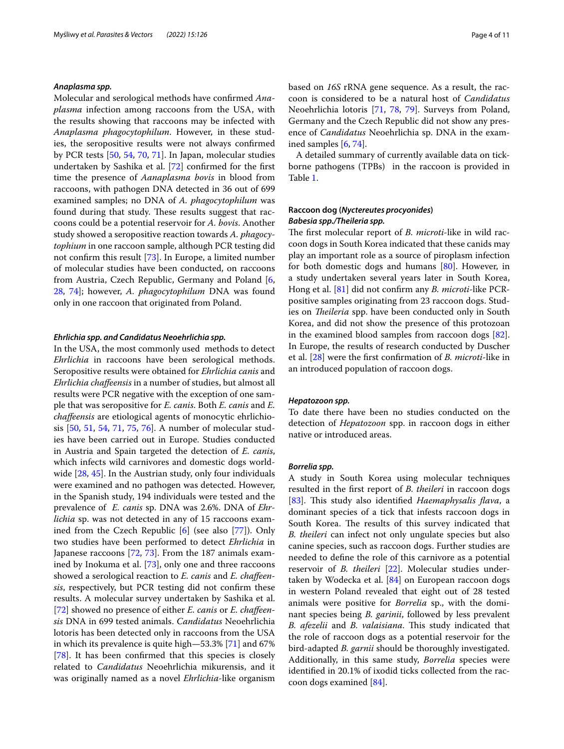### *Anaplasma spp.*

Molecular and serological methods have confrmed *Anaplasma* infection among raccoons from the USA, with the results showing that raccoons may be infected with *Anaplasma phagocytophilum*. However, in these studies, the seropositive results were not always confrmed by PCR tests [[50](#page-10-1), [54](#page-10-2), [70](#page-10-14), [71](#page-10-15)]. In Japan, molecular studies undertaken by Sashika et al. [[72\]](#page-10-16) confrmed for the frst time the presence of *Aanaplasma bovis* in blood from raccoons, with pathogen DNA detected in 36 out of 699 examined samples; no DNA of *A. phagocytophilum* was found during that study. These results suggest that raccoons could be a potential reservoir for *A. bovis*. Another study showed a seropositive reaction towards *A. phagocytophium* in one raccoon sample, although PCR testing did not confrm this result [\[73](#page-10-17)]. In Europe, a limited number of molecular studies have been conducted, on raccoons from Austria, Czech Republic, Germany and Poland [\[6](#page-9-2), [28,](#page-9-31) [74\]](#page-10-18); however, *A. phagocytophilum* DNA was found only in one raccoon that originated from Poland.

### *Ehrlichia spp. and Candidatus Neoehrlichia spp.*

In the USA, the most commonly used methods to detect *Ehrlichia* in raccoons have been serological methods. Seropositive results were obtained for *Ehrlichia canis* and *Ehrlichia chafeensis* in a number of studies, but almost all results were PCR negative with the exception of one sample that was seropositive for *E. canis*. Both *E. canis* and *E. chafeensis* are etiological agents of monocytic ehrlichiosis [\[50](#page-10-1), [51](#page-10-4), [54,](#page-10-2) [71,](#page-10-15) [75](#page-10-19), [76](#page-10-20)]. A number of molecular studies have been carried out in Europe. Studies conducted in Austria and Spain targeted the detection of *E. canis*, which infects wild carnivores and domestic dogs worldwide [[28,](#page-9-31) [45](#page-9-34)]. In the Austrian study, only four individuals were examined and no pathogen was detected. However, in the Spanish study, 194 individuals were tested and the prevalence of *E. canis* sp. DNA was 2.6%. DNA of *Ehrlichia* sp. was not detected in any of 15 raccoons examined from the Czech Republic [\[6](#page-9-2)] (see also [[77\]](#page-10-21)). Only two studies have been performed to detect *Ehrlichia* in Japanese raccoons [\[72,](#page-10-16) [73\]](#page-10-17). From the 187 animals examined by Inokuma et al. [\[73](#page-10-17)], only one and three raccoons showed a serological reaction to *E. canis* and *E. chafeensis*, respectively, but PCR testing did not confrm these results. A molecular survey undertaken by Sashika et al. [[72\]](#page-10-16) showed no presence of either *E. canis* or *E. chafeensis* DNA in 699 tested animals. *Candidatus* Neoehrlichia lotoris has been detected only in raccoons from the USA in which its prevalence is quite high—53.3% [\[71\]](#page-10-15) and 67% [[78\]](#page-10-22). It has been confirmed that this species is closely related to *Candidatus* Neoehrlichia mikurensis, and it was originally named as a novel *Ehrlichia-*like organism based on *16S* rRNA gene sequence. As a result, the raccoon is considered to be a natural host of *Candidatus* Neoehrlichia lotoris [[71](#page-10-15), [78,](#page-10-22) [79](#page-10-23)]. Surveys from Poland, Germany and the Czech Republic did not show any presence of *Candidatus* Neoehrlichia sp. DNA in the examined samples [\[6,](#page-9-2) [74](#page-10-18)].

A detailed summary of currently available data on tickborne pathogens (TPBs) in the raccoon is provided in Table [1](#page-4-0).

## **Raccoon dog (***Nyctereutes procyonides***)** *Babesia spp./Theileria spp.*

The first molecular report of *B. microti-like in wild rac*coon dogs in South Korea indicated that these canids may play an important role as a source of piroplasm infection for both domestic dogs and humans [\[80](#page-10-24)]. However, in a study undertaken several years later in South Korea, Hong et al. [[81\]](#page-10-25) did not confrm any *B. microti-*like PCRpositive samples originating from 23 raccoon dogs. Studies on *Theileria* spp. have been conducted only in South Korea, and did not show the presence of this protozoan in the examined blood samples from raccoon dogs [\[82](#page-10-26)]. In Europe, the results of research conducted by Duscher et al. [\[28](#page-9-31)] were the frst confrmation of *B. microti*-like in an introduced population of raccoon dogs.

### *Hepatozoon spp.*

To date there have been no studies conducted on the detection of *Hepatozoon* spp. in raccoon dogs in either native or introduced areas.

#### *Borrelia spp.*

A study in South Korea using molecular techniques resulted in the frst report of *B. theileri* in raccoon dogs [[83\]](#page-10-27). This study also identified *Haemaphysalis flava*, a dominant species of a tick that infests raccoon dogs in South Korea. The results of this survey indicated that *B. theileri* can infect not only ungulate species but also canine species, such as raccoon dogs. Further studies are needed to defne the role of this carnivore as a potential reservoir of *B. theileri* [\[22\]](#page-9-15). Molecular studies undertaken by Wodecka et al. [\[84\]](#page-10-28) on European raccoon dogs in western Poland revealed that eight out of 28 tested animals were positive for *Borrelia* sp., with the dominant species being *B. garinii*, followed by less prevalent *B. afezelii* and *B. valaisiana*. This study indicated that the role of raccoon dogs as a potential reservoir for the bird-adapted *B. garnii* should be thoroughly investigated. Additionally, in this same study, *Borrelia* species were identifed in 20.1% of ixodid ticks collected from the raccoon dogs examined [[84\]](#page-10-28).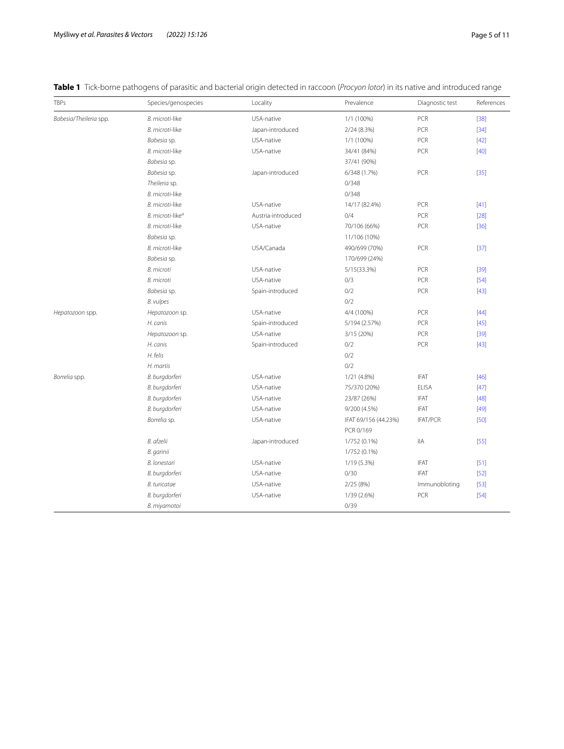| <b>TBPs</b>            | Species/genospecies          | Locality           | Prevalence           | Diagnostic test | References |
|------------------------|------------------------------|--------------------|----------------------|-----------------|------------|
| Babesia/Theileria spp. | B. microti-like              | USA-native         | 1/1 (100%)           | PCR             | $[38]$     |
|                        | B. microti-like              | Japan-introduced   | 2/24(8.3%)           | PCR             | $[34]$     |
|                        | Babesia sp.                  | USA-native         | 1/1 (100%)           | PCR             | $[42]$     |
|                        | B. microti-like              | USA-native         | 34/41 (84%)          | PCR             | $[40]$     |
|                        | Babesia sp.                  |                    | 37/41 (90%)          |                 |            |
|                        | Babesia sp.                  | Japan-introduced   | 6/348 (1.7%)         | PCR             | $[35]$     |
|                        | Theileria sp.                |                    | 0/348                |                 |            |
|                        | B. microti-like              |                    | 0/348                |                 |            |
|                        | B. microti-like              | USA-native         | 14/17 (82.4%)        | PCR             | $[41]$     |
|                        | B. microti-like <sup>a</sup> | Austria-introduced | 0/4                  | PCR             | $[28]$     |
|                        | B. microti-like              | USA-native         | 70/106 (66%)         | PCR             | $[36]$     |
|                        | Babesia sp.                  |                    | 11/106 (10%)         |                 |            |
|                        | B. microti-like              | USA/Canada         | 490/699 (70%)        | PCR             | $[37]$     |
|                        | Babesia sp.                  |                    | 170/699 (24%)        |                 |            |
|                        | <b>B.</b> microti            | USA-native         | 5/15(33.3%)          | PCR             | $[39]$     |
|                        | <b>B.</b> microti            | USA-native         | 0/3                  | PCR             | $[54]$     |
|                        | Babesia sp.                  | Spain-introduced   | 0/2                  | PCR             | $[43]$     |
|                        | B. vulpes                    |                    | 0/2                  |                 |            |
| Hepatozoon spp.        | Hepatozoon sp.               | USA-native         | 4/4 (100%)           | PCR             | $[44]$     |
|                        | H. canis                     | Spain-introduced   | 5/194 (2.57%)        | PCR             | $[45]$     |
|                        | Hepatozoon sp.               | USA-native         | 3/15 (20%)           | PCR             | $[39]$     |
|                        | H. canis                     | Spain-introduced   | 0/2                  | PCR             | $[43]$     |
|                        | H. felis                     |                    | 0/2                  |                 |            |
|                        | H. martis                    |                    | 0/2                  |                 |            |
| Borrelia spp.          | B. burgdorferi               | USA-native         | 1/21 (4.8%)          | <b>IFAT</b>     | [46]       |
|                        | B. burgdorferi               | USA-native         | 75/370 (20%)         | <b>ELISA</b>    | $[47]$     |
|                        | B. burgdorferi               | USA-native         | 23/87 (26%)          | <b>IFAT</b>     | $[48]$     |
|                        | B. burgdorferi               | USA-native         | 9/200 (4.5%)         | <b>IFAT</b>     | $[49]$     |
|                        | Borrelia sp.                 | USA-native         | IFAT 69/156 (44.23%) | <b>IFAT/PCR</b> | $[50]$     |
|                        |                              |                    | PCR 0/169            |                 |            |
|                        | B. afzelii                   | Japan-introduced   | 1/752 (0.1%)         | <b>IIA</b>      | $[55]$     |
|                        | B. garinii                   |                    | 1/752 (0.1%)         |                 |            |
|                        | B. lonestari                 | USA-native         | 1/19 (5.3%)          | <b>IFAT</b>     | $[51]$     |
|                        | B. burgdorferi               | USA-native         | 0/30                 | <b>IFAT</b>     | $[52]$     |
|                        | <b>B.</b> turicatae          | USA-native         | 2/25(8%)             | Immunobloting   | $[53]$     |
|                        | B. burgdorferi               | USA-native         | 1/39 (2.6%)          | PCR             | $[54]$     |
|                        | B. miyamotoi                 |                    | 0/39                 |                 |            |

# <span id="page-4-0"></span>**Table 1** Tick-borne pathogens of parasitic and bacterial origin detected in raccoon (*Procyon lotor*) in its native and introduced range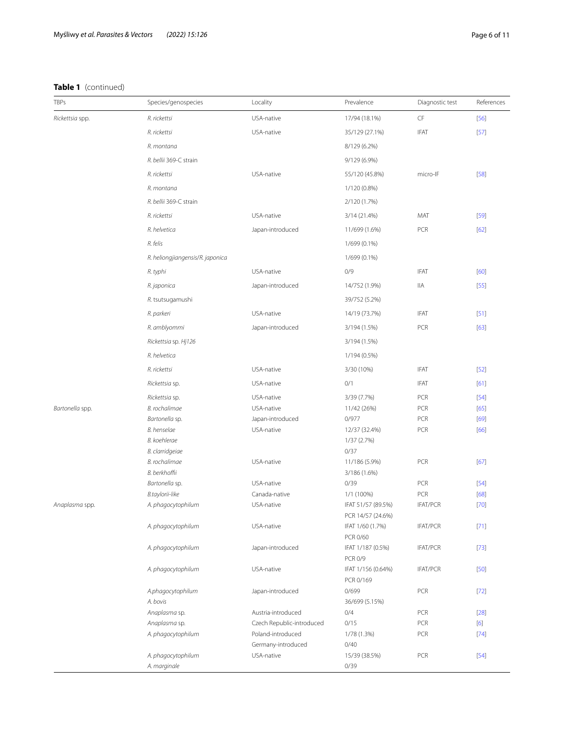# **Table 1** (continued)

| TBPs            | Species/genospecies              | Locality                  | Prevalence                      | Diagnostic test | References |
|-----------------|----------------------------------|---------------------------|---------------------------------|-----------------|------------|
| Rickettsia spp. | R. rickettsi                     | USA-native                | 17/94 (18.1%)                   | CF              | $[56]$     |
|                 | R. rickettsi                     | USA-native                | 35/129 (27.1%)                  | <b>IFAT</b>     | $[57]$     |
|                 | R. montana                       |                           | 8/129 (6.2%)                    |                 |            |
|                 | R. bellii 369-C strain           |                           | 9/129 (6.9%)                    |                 |            |
|                 | R. rickettsi                     | USA-native                | 55/120 (45.8%)                  | micro-IF        | $[58]$     |
|                 | R. montana                       |                           | 1/120 (0.8%)                    |                 |            |
|                 | R. bellii 369-C strain           |                           | 2/120 (1.7%)                    |                 |            |
|                 | R. rickettsi                     | USA-native                | 3/14 (21.4%)                    | MAT             | $[59]$     |
|                 | R. helvetica                     | Japan-introduced          | 11/699 (1.6%)                   | PCR             | [62]       |
|                 | R. felis                         |                           |                                 |                 |            |
|                 |                                  |                           | 1/699 (0.1%)                    |                 |            |
|                 | R. heliongjiangensis/R. japonica |                           | 1/699 (0.1%)                    |                 |            |
|                 | R. typhi                         | USA-native                | 0/9                             | <b>IFAT</b>     | [60]       |
|                 | R. japonica                      | Japan-introduced          | 14/752 (1.9%)                   | IIA             | $[55]$     |
|                 | R. tsutsugamushi                 |                           | 39/752 (5.2%)                   |                 |            |
|                 | R. parkeri                       | USA-native                | 14/19 (73.7%)                   | <b>IFAT</b>     | $[51]$     |
|                 | R. amblyommi                     | Japan-introduced          | 3/194 (1.5%)                    | PCR             | [63]       |
|                 | Rickettsia sp. Hj126             |                           | 3/194 (1.5%)                    |                 |            |
|                 | R. helvetica                     |                           | 1/194 (0.5%)                    |                 |            |
|                 | R. rickettsi                     | USA-native                | 3/30 (10%)                      | <b>IFAT</b>     | $[52]$     |
|                 | Rickettsia sp.                   | USA-native                | 0/1                             | <b>IFAT</b>     | [61]       |
|                 | Rickettsia sp.                   | USA-native                | 3/39 (7.7%)                     | PCR             | $[54]$     |
| Bartonella spp. | B. rochalimae                    | USA-native                | 11/42 (26%)                     | PCR             | [65]       |
|                 | Bartonella sp.                   | Japan-introduced          | 0/977                           | PCR             | [69]       |
|                 | B. henselae                      | USA-native                | 12/37 (32.4%)                   | PCR             | [66]       |
|                 | B. koehlerae                     |                           | 1/37 (2.7%)                     |                 |            |
|                 | B. clarridgeiae                  |                           | 0/37                            |                 |            |
|                 | B. rochalimae<br>B. berkhoffii   | USA-native                | 11/186 (5.9%)                   | PCR             | $[67]$     |
|                 | Bartonella sp.                   | USA-native                | 3/186 (1.6%)<br>0/39            | PCR             | $[54]$     |
|                 | B.taylorii-like                  | Canada-native             | 1/1 (100%)                      | PCR             | [68]       |
| Anaplasma spp.  | A. phagocytophilum               | USA-native                | IFAT 51/57 (89.5%)              | <b>IFAT/PCR</b> | $[70]$     |
|                 |                                  |                           | PCR 14/57 (24.6%)               |                 |            |
|                 | A. phagocytophilum               | USA-native                | IFAT 1/60 (1.7%)                | <b>IFAT/PCR</b> | $[71]$     |
|                 |                                  |                           | PCR 0/60                        |                 |            |
|                 | A. phagocytophilum               | Japan-introduced          | IFAT 1/187 (0.5%)               | <b>IFAT/PCR</b> | $[73]$     |
|                 |                                  |                           | <b>PCR 0/9</b>                  |                 |            |
|                 | A. phagocytophilum               | USA-native                | IFAT 1/156 (0.64%)<br>PCR 0/169 | <b>IFAT/PCR</b> | $[50]$     |
|                 | A.phagocytophilum                | Japan-introduced          | 0/699                           | PCR             | $[72]$     |
|                 | A. bovis                         |                           | 36/699 (5.15%)                  |                 |            |
|                 | Anaplasma sp.                    | Austria-introduced        | 0/4                             | PCR             | $[28]$     |
|                 | Anaplasma sp.                    | Czech Republic-introduced | 0/15                            | PCR             | [6]        |
|                 | A. phagocytophilum               | Poland-introduced         | 1/78 (1.3%)                     | PCR             | $[74]$     |
|                 |                                  | Germany-introduced        | 0/40                            |                 |            |
|                 | A. phagocytophilum               | USA-native                | 15/39 (38.5%)                   | PCR             | $[54]$     |
|                 | A. marginale                     |                           | 0/39                            |                 |            |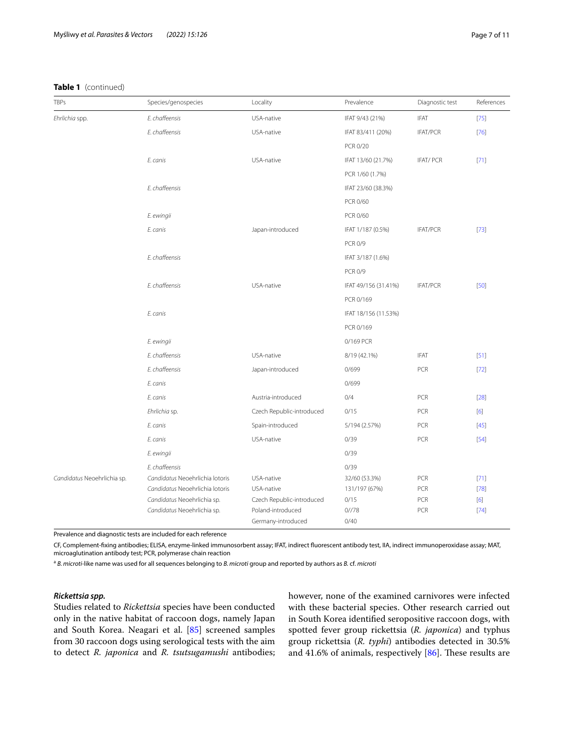## **Table 1** (continued)

| TBPs                        | Species/genospecies             | Locality                  | Prevalence           | Diagnostic test | References |
|-----------------------------|---------------------------------|---------------------------|----------------------|-----------------|------------|
| Ehrlichia spp.              | E. chaffeensis                  | USA-native                | IFAT 9/43 (21%)      | <b>IFAT</b>     | $[75]$     |
|                             | E. chaffeensis                  | USA-native                | IFAT 83/411 (20%)    | <b>IFAT/PCR</b> | $[76]$     |
|                             |                                 |                           | PCR 0/20             |                 |            |
|                             | E. canis                        | USA-native                | IFAT 13/60 (21.7%)   | <b>IFAT/PCR</b> | $[71]$     |
|                             |                                 |                           | PCR 1/60 (1.7%)      |                 |            |
|                             | E. chaffeensis                  |                           | IFAT 23/60 (38.3%)   |                 |            |
|                             |                                 |                           | PCR 0/60             |                 |            |
|                             | E. ewingii                      |                           | PCR 0/60             |                 |            |
|                             | E. canis                        | Japan-introduced          | IFAT 1/187 (0.5%)    | <b>IFAT/PCR</b> | $[73]$     |
|                             |                                 |                           | <b>PCR 0/9</b>       |                 |            |
|                             | E. chaffeensis                  |                           | IFAT 3/187 (1.6%)    |                 |            |
|                             |                                 |                           | <b>PCR 0/9</b>       |                 |            |
|                             | E. chaffeensis                  | USA-native                | IFAT 49/156 (31.41%) | <b>IFAT/PCR</b> | [50]       |
|                             |                                 |                           | PCR 0/169            |                 |            |
|                             | E. canis                        |                           | IFAT 18/156 (11.53%) |                 |            |
|                             |                                 |                           | PCR 0/169            |                 |            |
|                             | E. ewingii                      |                           | 0/169 PCR            |                 |            |
|                             | E. chaffeensis                  | USA-native                | 8/19 (42.1%)         | <b>IFAT</b>     | $[51]$     |
|                             | E. chaffeensis                  | Japan-introduced          | 0/699                | PCR             | $[72]$     |
|                             | E. canis                        |                           | 0/699                |                 |            |
|                             | E. canis                        | Austria-introduced        | 0/4                  | PCR             | $[28]$     |
|                             | Ehrlichia sp.                   | Czech Republic-introduced | 0/15                 | PCR             | [6]        |
|                             | E. canis                        | Spain-introduced          | 5/194 (2.57%)        | PCR             | $[45]$     |
|                             | E. canis                        | USA-native                | 0/39                 | PCR             | $[54]$     |
|                             | E. ewingii                      |                           | 0/39                 |                 |            |
|                             | E. chaffeensis                  |                           | 0/39                 |                 |            |
| Candidatus Neoehrlichia sp. | Candidatus Neoehrlichia lotoris | USA-native                | 32/60 (53.3%)        | PCR             | $[71]$     |
|                             | Candidatus Neoehrlichia lotoris | USA-native                | 131/197 (67%)        | PCR             | $[78]$     |
|                             | Candidatus Neoehrlichia sp.     | Czech Republic-introduced | 0/15                 | PCR             | [6]        |
|                             | Candidatus Neoehrlichia sp.     | Poland-introduced         | 0//78                | PCR             | $[74]$     |
|                             |                                 | Germany-introduced        | 0/40                 |                 |            |

Prevalence and diagnostic tests are included for each reference

CF, Complement-fxing antibodies; ELISA, enzyme-linked immunosorbent assay; IFAT, indirect fuorescent antibody test, IIA, indirect immunoperoxidase assay; MAT, microaglutination antibody test; PCR, polymerase chain reaction

<sup>a</sup> *B. microti-*like name was used for all sequences belonging to *B. microti* group and reported by authors as *B.* cf. *microti*

### *Rickettsia spp.*

Studies related to *Rickettsia* species have been conducted only in the native habitat of raccoon dogs, namely Japan and South Korea. Neagari et al. [\[85](#page-10-36)] screened samples from 30 raccoon dogs using serological tests with the aim to detect *R. japonica* and *R. tsutsugamushi* antibodies; however, none of the examined carnivores were infected with these bacterial species. Other research carried out in South Korea identifed seropositive raccoon dogs, with spotted fever group rickettsia (*R. japonica*) and typhus group rickettsia (*R. typhi*) antibodies detected in 30.5% and 41.6% of animals, respectively  $[86]$  $[86]$ . These results are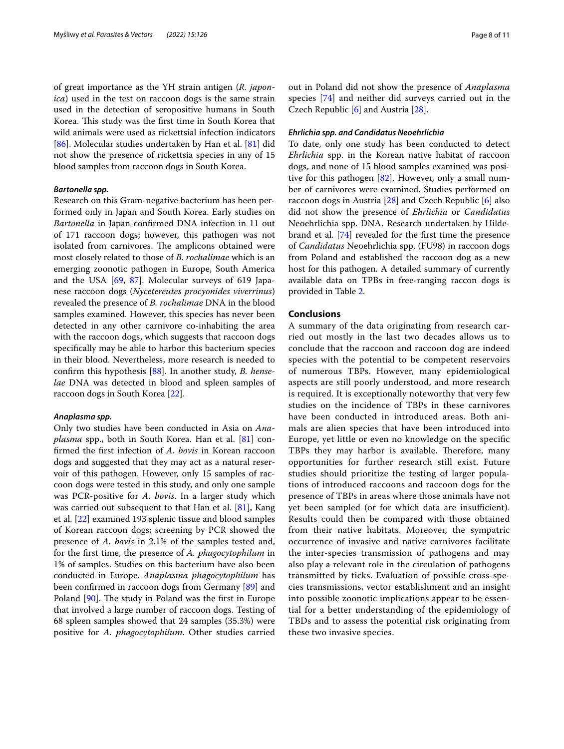of great importance as the YH strain antigen (*R. japonica*) used in the test on raccoon dogs is the same strain used in the detection of seropositive humans in South Korea. This study was the first time in South Korea that wild animals were used as rickettsial infection indicators [[86\]](#page-10-37). Molecular studies undertaken by Han et al. [[81](#page-10-25)] did not show the presence of rickettsia species in any of 15 blood samples from raccoon dogs in South Korea.

## *Bartonella spp.*

Research on this Gram-negative bacterium has been performed only in Japan and South Korea. Early studies on *Bartonella* in Japan confrmed DNA infection in 11 out of 171 raccoon dogs; however, this pathogen was not isolated from carnivores. The amplicons obtained were most closely related to those of *B. rochalimae* which is an emerging zoonotic pathogen in Europe, South America and the USA [\[69](#page-10-13), [87\]](#page-10-38). Molecular surveys of 619 Japanese raccoon dogs (*Nycetereutes procyonides viverrinus*) revealed the presence of *B. rochalimae* DNA in the blood samples examined. However, this species has never been detected in any other carnivore co-inhabiting the area with the raccoon dogs, which suggests that raccoon dogs specifcally may be able to harbor this bacterium species in their blood. Nevertheless, more research is needed to confrm this hypothesis [[88\]](#page-10-39). In another study, *B. henselae* DNA was detected in blood and spleen samples of raccoon dogs in South Korea [[22\]](#page-9-15).

### *Anaplasma spp.*

Only two studies have been conducted in Asia on *Anaplasma* spp., both in South Korea. Han et al. [\[81](#page-10-25)] confrmed the frst infection of *A. bovis* in Korean raccoon dogs and suggested that they may act as a natural reservoir of this pathogen. However, only 15 samples of raccoon dogs were tested in this study, and only one sample was PCR-positive for *A. bovis*. In a larger study which was carried out subsequent to that Han et al. [[81\]](#page-10-25), Kang et al. [[22\]](#page-9-15) examined 193 splenic tissue and blood samples of Korean raccoon dogs; screening by PCR showed the presence of *A. bovis* in 2.1% of the samples tested and, for the frst time, the presence of *A. phagocytophilum* in 1% of samples. Studies on this bacterium have also been conducted in Europe. *Anaplasma phagocytophilum* has been confrmed in raccoon dogs from Germany [[89](#page-10-40)] and Poland  $[90]$  $[90]$ . The study in Poland was the first in Europe that involved a large number of raccoon dogs. Testing of 68 spleen samples showed that 24 samples (35.3%) were positive for *A. phagocytophilum*. Other studies carried out in Poland did not show the presence of *Anaplasma* species [\[74\]](#page-10-18) and neither did surveys carried out in the Czech Republic [[6\]](#page-9-2) and Austria [\[28](#page-9-31)].

### *Ehrlichia spp. and Candidatus Neoehrlichia*

To date, only one study has been conducted to detect *Ehrlichia* spp. in the Korean native habitat of raccoon dogs, and none of 15 blood samples examined was positive for this pathogen [\[82](#page-10-26)]. However, only a small number of carnivores were examined. Studies performed on raccoon dogs in Austria [\[28](#page-9-31)] and Czech Republic [[6\]](#page-9-2) also did not show the presence of *Ehrlichia* or *Candidatus* Neoehrlichia spp. DNA. Research undertaken by Hildebrand et al. [\[74\]](#page-10-18) revealed for the frst time the presence of *Candidatus* Neoehrlichia spp. (FU98) in raccoon dogs from Poland and established the raccoon dog as a new host for this pathogen. A detailed summary of currently available data on TPBs in free-ranging raccon dogs is provided in Table [2](#page-8-2).

### **Conclusions**

A summary of the data originating from research carried out mostly in the last two decades allows us to conclude that the raccoon and raccoon dog are indeed species with the potential to be competent reservoirs of numerous TBPs. However, many epidemiological aspects are still poorly understood, and more research is required. It is exceptionally noteworthy that very few studies on the incidence of TBPs in these carnivores have been conducted in introduced areas. Both animals are alien species that have been introduced into Europe, yet little or even no knowledge on the specifc TBPs they may harbor is available. Therefore, many opportunities for further research still exist. Future studies should prioritize the testing of larger populations of introduced raccoons and raccoon dogs for the presence of TBPs in areas where those animals have not yet been sampled (or for which data are insufficient). Results could then be compared with those obtained from their native habitats. Moreover, the sympatric occurrence of invasive and native carnivores facilitate the inter-species transmission of pathogens and may also play a relevant role in the circulation of pathogens transmitted by ticks. Evaluation of possible cross-species transmissions, vector establishment and an insight into possible zoonotic implications appear to be essential for a better understanding of the epidemiology of TBDs and to assess the potential risk originating from these two invasive species.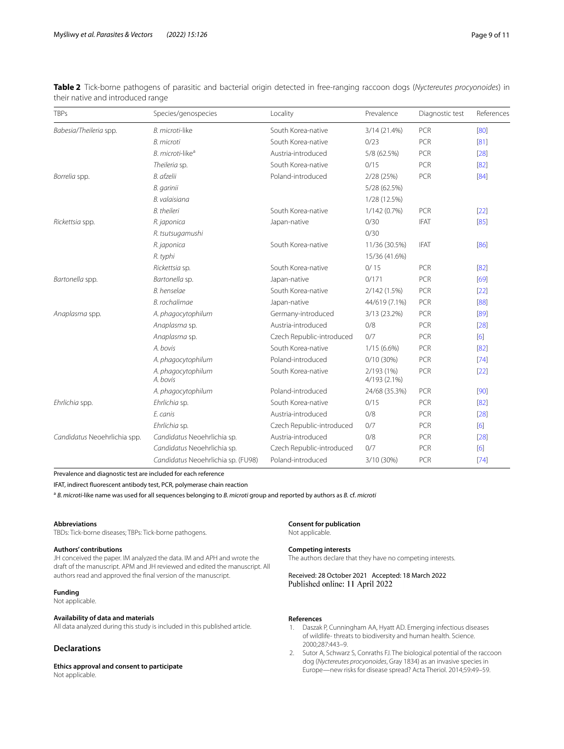| <b>TBPs</b>                  | Species/genospecies                | Locality                  | Prevalence                 | Diagnostic test | References |
|------------------------------|------------------------------------|---------------------------|----------------------------|-----------------|------------|
| Babesia/Theileria spp.       | B. microti-like                    | South Korea-native        | 3/14 (21.4%)               | PCR             | [80]       |
|                              | <b>B.</b> microti                  | South Korea-native        | 0/23                       | PCR             | [81]       |
|                              | B. microti-like <sup>a</sup>       | Austria-introduced        | 5/8 (62.5%)                | PCR             | $[28]$     |
|                              | Theileria sp.                      | South Korea-native        | 0/15                       | PCR             | [82]       |
| Borrelia spp.                | B. afzelii                         | Poland-introduced         | 2/28 (25%)                 | PCR             | [84]       |
|                              | B. garinii                         |                           | 5/28 (62.5%)               |                 |            |
|                              | B. valaisiana                      |                           | 1/28 (12.5%)               |                 |            |
|                              | <b>B.</b> theileri                 | South Korea-native        | 1/142 (0.7%)               | PCR             | [22]       |
| Rickettsia spp.              | R. japonica                        | Japan-native              | 0/30                       | <b>IFAT</b>     | [85]       |
|                              | R. tsutsugamushi                   |                           | 0/30                       |                 |            |
|                              | R. japonica                        | South Korea-native        | 11/36 (30.5%)              | <b>IFAT</b>     | [86]       |
|                              | R. typhi                           |                           | 15/36 (41.6%)              |                 |            |
|                              | Rickettsia sp.                     | South Korea-native        | 0/15                       | PCR             | [82]       |
| Bartonella spp.              | Bartonella sp.                     | Japan-native              | 0/171                      | PCR             | [69]       |
|                              | B. henselae                        | South Korea-native        | 2/142 (1.5%)               | PCR             | $[22]$     |
|                              | B. rochalimae                      | Japan-native              | 44/619 (7.1%)              | PCR             | [88]       |
| Anaplasma spp.               | A. phagocytophilum                 | Germany-introduced        | 3/13 (23.2%)               | PCR             | [89]       |
|                              | Anaplasma sp.                      | Austria-introduced        | 0/8                        | PCR             | $[28]$     |
|                              | Anaplasma sp.                      | Czech Republic-introduced | 0/7                        | PCR             | [6]        |
|                              | A. bovis                           | South Korea-native        | $1/15(6.6\%)$              | PCR             | [82]       |
|                              | A. phagocytophilum                 | Poland-introduced         | $0/10(30\%)$               | PCR             | [74]       |
|                              | A. phagocytophilum<br>A. bovis     | South Korea-native        | 2/193 (1%)<br>4/193 (2.1%) | PCR             | $[22]$     |
|                              | A. phagocytophilum                 | Poland-introduced         | 24/68 (35.3%)              | PCR             | $[90]$     |
| Ehrlichia spp.               | Ehrlichia sp.                      | South Korea-native        | 0/15                       | <b>PCR</b>      | [82]       |
|                              | E. canis                           | Austria-introduced        | 0/8                        | PCR             | $[28]$     |
|                              | Ehrlichia sp.                      | Czech Republic-introduced | 0/7                        | PCR             | [6]        |
| Candidatus Neoehrlichia spp. | Candidatus Neoehrlichia sp.        | Austria-introduced        | 0/8                        | PCR             | [28]       |
|                              | Candidatus Neoehrlichia sp.        | Czech Republic-introduced | 0/7                        | PCR             | [6]        |
|                              | Candidatus Neoehrlichia sp. (FU98) | Poland-introduced         | 3/10 (30%)                 | PCR             | [74]       |

<span id="page-8-2"></span>**Table 2** Tick-borne pathogens of parasitic and bacterial origin detected in free-ranging raccoon dogs (*Nyctereutes procyonoides*) in their native and introduced range

Prevalence and diagnostic test are included for each reference

IFAT, indirect fuorescent antibody test, PCR, polymerase chain reaction

<sup>a</sup> *B. microti-*like name was used for all sequences belonging to *B. microti* group and reported by authors as *B.* cf. *microti*

#### **Abbreviations**

TBDs: Tick-borne diseases; TBPs: Tick-borne pathogens.

#### **Authors' contributions**

JH conceived the paper. IM analyzed the data. IM and APH and wrote the draft of the manuscript. APM and JH reviewed and edited the manuscript. All authors read and approved the fnal version of the manuscript.

### **Funding**

Not applicable.

### **Availability of data and materials**

All data analyzed during this study is included in this published article.

### **Declarations**

**Ethics approval and consent to participate**

Not applicable.

#### **Consent for publication**

Not applicable.

#### **Competing interests**

The authors declare that they have no competing interests.

Received: 28 October 2021 Accepted: 18 March 2022 Published online: 11 April 2022

### **References**

- <span id="page-8-0"></span>1. Daszak P, Cunningham AA, Hyatt AD. Emerging infectious diseases of wildlife- threats to biodiversity and human health. Science. 2000;287:443–9.
- <span id="page-8-1"></span>2. Sutor A, Schwarz S, Conraths FJ. The biological potential of the raccoon dog (*Nyctereutes procyonoides*, Gray 1834) as an invasive species in Europe—new risks for disease spread? Acta Theriol. 2014;59:49–59.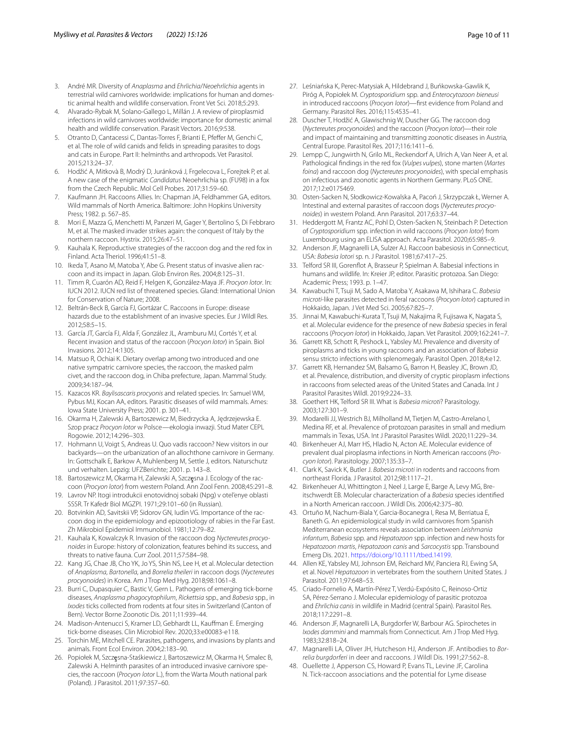- <span id="page-9-0"></span>3. André MR. Diversity of *Anaplasma* and *Ehrlichia*/*Neoehrlichia* agents in terrestrial wild carnivores worldwide: implications for human and domestic animal health and wildlife conservation. Front Vet Sci. 2018;5:293.
- <span id="page-9-1"></span>4. Alvarado-Rybak M, Solano-Gallego L, Millán J. A review of piroplasmid infections in wild carnivores worldwide: importance for domestic animal health and wildlife conservation. Parasit Vectors. 2016;9:538.
- 5. Otranto D, Cantacessi C, Dantas-Torres F, Brianti E, Pfefer M, Genchi C, et al. The role of wild canids and felids in spreading parasites to dogs and cats in Europe. Part II: helminths and arthropods. Vet Parasitol. 2015;213:24–37.
- <span id="page-9-2"></span>6. Hodžić A, Mitkovà B, Modrý D, Juránková J, Frgelecova L, Forejtek P, et al. A new case of the enigmatic *Candidatus* Neoehrlichia sp. (FU98) in a fox from the Czech Republic. Mol Cell Probes. 2017;31:59–60.
- <span id="page-9-3"></span>7. Kaufmann JH. Raccoons Allies. In: Chapman JA, Feldhammer GA, editors. Wild mammals of North America. Baltimore: John Hopkins University Press; 1982. p. 567–85.
- <span id="page-9-4"></span>8. Mori E, Mazza G, Menchetti M, Panzeri M, Gager Y, Bertolino S, Di Febbraro M, et al. The masked invader strikes again: the conquest of Italy by the northern raccoon. Hystrix. 2015;26:47–51.
- <span id="page-9-5"></span>9. Kauhala K. Reproductive strategies of the raccoon dog and the red fox in Finland. Acta Theriol. 1996;41:51–8.
- <span id="page-9-7"></span>10. Ikeda T, Asano M, Matoba Y, Abe G. Present status of invasive alien raccoon and its impact in Japan. Glob Environ Res. 2004;8:125–31.
- 11. Timm R, Cuarón AD, Reid F, Helgen K, González-Maya JF. *Procyon lotor*. In: IUCN 2012. IUCN red list of threatened species. Gland: International Union for Conservation of Nature; 2008.
- <span id="page-9-9"></span>12. Beltrán-Beck B, García FJ, Gortázar C. Raccoons in Europe: disease hazards due to the establishment of an invasive species. Eur J Wildl Res. 2012;58:5–15.
- <span id="page-9-6"></span>13. García JT, García FJ, Alda F, González JL, Aramburu MJ, Cortés Y, et al. Recent invasion and status of the raccoon (*Procyon lotor*) in Spain. Biol Invasions. 2012;14:1305.
- <span id="page-9-8"></span>14. Matsuo R, Ochiai K. Dietary overlap among two introduced and one native sympatric carnivore species, the raccoon, the masked palm civet, and the raccoon dog, in Chiba prefecture, Japan. Mammal Study. 2009;34:187–94.
- <span id="page-9-10"></span>15. Kazacos KR. *Baylisascaris procyonis* and related species. In: Samuel WM, Pybus MJ, Kocan AA, editors. Parasitic diseases of wild mammals. Ames: Iowa State University Press; 2001. p. 301–41.
- <span id="page-9-11"></span>16. Okarma H, Zalewski A, Bartoszewicz M, Biedrzycka A, Jędrzejewska E. Szop pracz *Procyon lotor* w Polsce—ekologia inwazji. Stud Mater CEPL Rogowie. 2012;14:296–303.
- 17. Hohmann U, Voigt S, Andreas U. Quo vadis raccoon? New visitors in our backyards—on the urbanization of an allochthone carnivore in Germany. In: Gottschalk E, Barkow A, Muhlenberg M, Settle J, editors. Naturschutz und verhalten. Lepzig: UFZBerichte; 2001. p. 143–8.
- <span id="page-9-12"></span>18. Bartoszewicz M, Okarma H, Zalewski A, Szczęsna J. Ecology of the raccoon (*Procyon lotor*) from western Poland. Ann Zool Fenn. 2008;45:291–8.
- <span id="page-9-13"></span>19. Lavrov NP. Itogi introdukcii enotovidnoj sobaki (Npg) v otel'enye oblasti SSSR. Tr Kafedr Biol MGZPI. 1971;29:101–60 (in Russian).
- <span id="page-9-14"></span>20. Botvinkin AD, Savitskii VP, Sidorov GN, Iudin VG. Importance of the raccoon dog in the epidemiology and epizootiology of rabies in the Far East. Zh Mikrobiol Epidemiol Immunobiol. 1981;12:79–82.
- 21. Kauhala K, Kowalczyk R. Invasion of the raccoon dog *Nyctereutes procyonoides* in Europe: history of colonization, features behind its success, and threats to native fauna. Curr Zool. 2011;57:584–98.
- <span id="page-9-15"></span>22. Kang JG, Chae JB, Cho YK, Jo YS, Shin NS, Lee H, et al. Molecular detection of *Anaplasma*, *Bartonella*, and *Borrelia theileri* in raccoon dogs (*Nyctereutes procyonoides*) in Korea. Am J Trop Med Hyg. 2018;98:1061–8.
- <span id="page-9-16"></span>23. Burri C, Dupasquier C, Bastic V, Gern L. Pathogens of emerging tick-borne diseases, *Anaplasma phagocytophilum*, *Rickettsia* spp., and *Babesia* spp., in *Ixodes* ticks collected from rodents at four sites in Switzerland (Canton of Bern). Vector Borne Zoonotic Dis. 2011;11:939–44.
- <span id="page-9-17"></span>24. Madison-Antenucci S, Kramer LD, Gebhardt LL, Kaufman E. Emerging tick-borne diseases. Clin Microbiol Rev. 2020;33:e00083-e118.
- <span id="page-9-18"></span>25. Torchin ME, Mitchell CE. Parasites, pathogens, and invasions by plants and animals. Front Ecol Environ. 2004;2:183–90.
- <span id="page-9-19"></span>26. Popiołek M, Szczęsna-Staśkiewicz J, Bartoszewicz M, Okarma H, Smalec B, Zalewski A. Helminth parasites of an introduced invasive carnivore species, the raccoon (*Procyon lotor* L.), from the Warta Mouth national park (Poland). J Parasitol. 2011;97:357–60.
- 27. Leśniańska K, Perec-Matysiak A, Hildebrand J, Buńkowska-Gawlik K, Piróg A, Popiołek M. *Cryptosporidium* spp. and *Enterocytozoon bieneusi* in introduced raccoons (*Procyon lotor*)—frst evidence from Poland and Germany. Parasitol Res. 2016;115:4535–41.
- <span id="page-9-31"></span>28. Duscher T, Hodžić A, Glawischnig W, Duscher GG. The raccoon dog (*Nyctereutes procyonoides*) and the raccoon (*Procyon lotor*)—their role and impact of maintaining and transmitting zoonotic diseases in Austria, Central Europe. Parasitol Res. 2017;116:1411–6.
- 29. Lempp C, Jungwirth N, Grilo ML, Reckendorf A, Ulrich A, Van Neer A, et al. Pathological fndings in the red fox (*Vulpes vulpes*), stone marten (*Martes foina*) and raccoon dog (*Nyctereutes procyonoides*), with special emphasis on infectious and zoonotic agents in Northern Germany. PLoS ONE. 2017;12:e0175469.
- 30. Osten-Sacken N, Słodkowicz-Kowalska A, Pacoń J, Skrzypczak Ł, Werner A. Intestinal and external parasites of raccoon dogs (*Nyctereutes procyonoides*) in western Poland. Ann Parasitol. 2017;63:37–44.
- <span id="page-9-20"></span>31. Heddergott M, Frantz AC, Pohl D, Osten-Sacken N, Steinbach P. Detection of *Cryptosporidium* spp. infection in wild raccoons (*Procyon lotor*) from Luxembourg using an ELISA approach. Acta Parasitol. 2020;65:985–9.
- <span id="page-9-21"></span>32. Anderson JF, Magnarelli LA, Sulzer AJ. Raccoon babesiosis in Connecticut, USA: *Babesia lotori* sp. n. J Parasitol. 1981;67:417–25.
- <span id="page-9-22"></span>33. Telford SR III, Gorenfot A, Brasseur P, Spielman A. Babesial infections in humans and wildlife. In: Kreier JP, editor. Parasitic protozoa. San Diego: Academic Press; 1993. p. 1–47.
- <span id="page-9-36"></span>34. Kawabuchi T, Tsuji M, Sado A, Matoba Y, Asakawa M, Ishihara C. *Babesia microti*-like parasites detected in feral raccoons (*Procyon lotor*) captured in Hokkaido, Japan. J Vet Med Sci. 2005;67:825–7.
- <span id="page-9-23"></span>35. Jinnai M, Kawabuchi-Kurata T, Tsuji M, Nakajima R, Fujisawa K, Nagata S, et al. Molecular evidence for the presence of new *Babesia* species in feral raccoons (*Procyon lotor*) in Hokkaido, Japan. Vet Parasitol. 2009;162:241–7.
- <span id="page-9-24"></span>36. Garrett KB, Schott R, Peshock L, Yabsley MJ. Prevalence and diversity of piroplasms and ticks in young raccoons and an association of *Babesia* sensu stricto infections with splenomegaly. Parasitol Open. 2018;4:e12.
- <span id="page-9-25"></span>37. Garrett KB, Hernandez SM, Balsamo G, Barron H, Beasley JC, Brown JD, et al. Prevalence, distribution, and diversity of cryptic piroplasm infections in raccoons from selected areas of the United States and Canada. Int J Parasitol Parasites Wildl. 2019;9:224–33.
- <span id="page-9-26"></span>38. Goethert HK, Telford SR III. What is *Babesia microti*? Parasitology. 2003;127:301–9.
- <span id="page-9-27"></span>39. Modarelli JJ, Westrich BJ, Milholland M, Tietjen M, Castro-Arrelano I, Medina RF, et al. Prevalence of protozoan parasites in small and medium mammals in Texas, USA. Int J Parasitol Parasites Wildl. 2020;11:229–34.
- <span id="page-9-29"></span>40. Birkenheuer AJ, Marr HS, Hladio N, Acton AE. Molecular evidence of prevalent dual piroplasma infections in North American raccoons (*Procyon lotor*). Parasitology. 2007;135:33–7.
- <span id="page-9-28"></span>41. Clark K, Savick K, Butler J. *Babesia microti* in rodents and raccoons from northeast Florida. J Parasitol. 2012;98:1117–21.
- <span id="page-9-30"></span>42. Birkenheuer AJ, Whittington J, Neel J, Large E, Barge A, Levy MG, Breitschwerdt EB. Molecular characterization of a *Babesia* species identifed in a North American raccoon. J Wildl Dis. 2006;42:375–80.
- <span id="page-9-32"></span>43. Ortuño M, Nachum-Biala Y, Garcia-Bocanegra I, Resa M, Berriatua E, Baneth G. An epidemiological study in wild carnivores from Spanish Mediterranean ecosystems reveals association between *Leishmania infantum*, *Babesia* spp. and *Hepatozoon* spp. infection and new hosts for *Hepatozoon martis*, *Hepatozoon canis* and *Sarcocystis* spp. Transbound Emerg Dis. 2021. <https://doi.org/10.1111/tbed.14199>.
- <span id="page-9-33"></span>44. Allen KE, Yabsley MJ, Johnson EM, Reichard MV, Panciera RJ, Ewing SA, et al. Novel *Hepatozoon* in vertebrates from the southern United States. J Parasitol. 2011;97:648–53.
- <span id="page-9-34"></span>45. Criado-Fornelio A, Martín-Pérez T, Verdú-Expósito C, Reinoso-Ortiz SA, Pérez-Serrano J. Molecular epidemiology of parasitic protozoa and *Ehrlichia canis* in wildlife in Madrid (central Spain). Parasitol Res. 2018;117:2291–8.
- <span id="page-9-35"></span>46. Anderson JF, Magnarelli LA, Burgdorfer W, Barbour AG. Spirochetes in *Ixodes dammini* and mammals from Connecticut. Am J Trop Med Hyg. 1983;32:818–24.
- <span id="page-9-37"></span>47. Magnarelli LA, Oliver JH, Hutcheson HJ, Anderson JF. Antibodies to *Borrelia burgdorferi* in deer and raccoons. J Wildl Dis. 1991;27:562–8.
- <span id="page-9-38"></span>48. Ouellette J, Apperson CS, Howard P, Evans TL, Levine JF, Carolina N. Tick-raccoon associations and the potential for Lyme disease